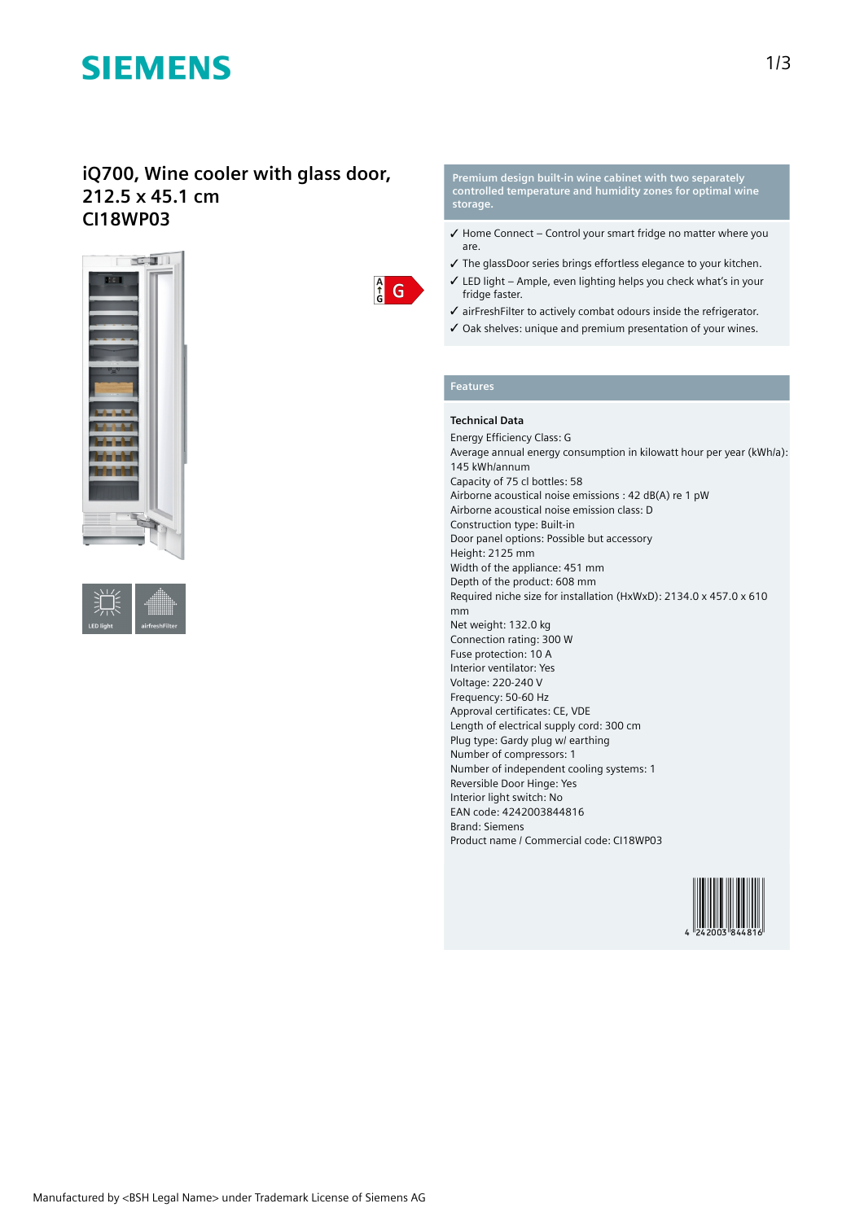# **SIEMENS**

## **iQ700, Wine cooler with glass door, 212.5 x 45.1 cm CI18WP03**







**Premium design built-in wine cabinet with two separately controlled temperature and humidity zones for optimal wine storage.**

- ✓ Home Connect Control your smart fridge no matter where you are.
- ✓ The glassDoor series brings effortless elegance to your kitchen.
- ✓ LED light Ample, even lighting helps you check what's in your fridge faster.
- ✓ airFreshFilter to actively combat odours inside the refrigerator.
- ✓ Oak shelves: unique and premium presentation of your wines.

### **Features**

### **Technical Data**

Energy Efficiency Class: G Average annual energy consumption in kilowatt hour per year (kWh/a): 145 kWh/annum Capacity of 75 cl bottles: 58 Airborne acoustical noise emissions : 42 dB(A) re 1 pW Airborne acoustical noise emission class: D Construction type: Built-in Door panel options: Possible but accessory Height: 2125 mm Width of the appliance: 451 mm Depth of the product: 608 mm Required niche size for installation (HxWxD): 2134.0 x 457.0 x 610 mm Net weight: 132.0 kg Connection rating: 300 W Fuse protection: 10 A Interior ventilator: Yes Voltage: 220-240 V Frequency: 50-60 Hz Approval certificates: CE, VDE Length of electrical supply cord: 300 cm Plug type: Gardy plug w/ earthing Number of compressors: 1 Number of independent cooling systems: 1 Reversible Door Hinge: Yes Interior light switch: No EAN code: 4242003844816 Brand: Siemens Product name / Commercial code: CI18WP03

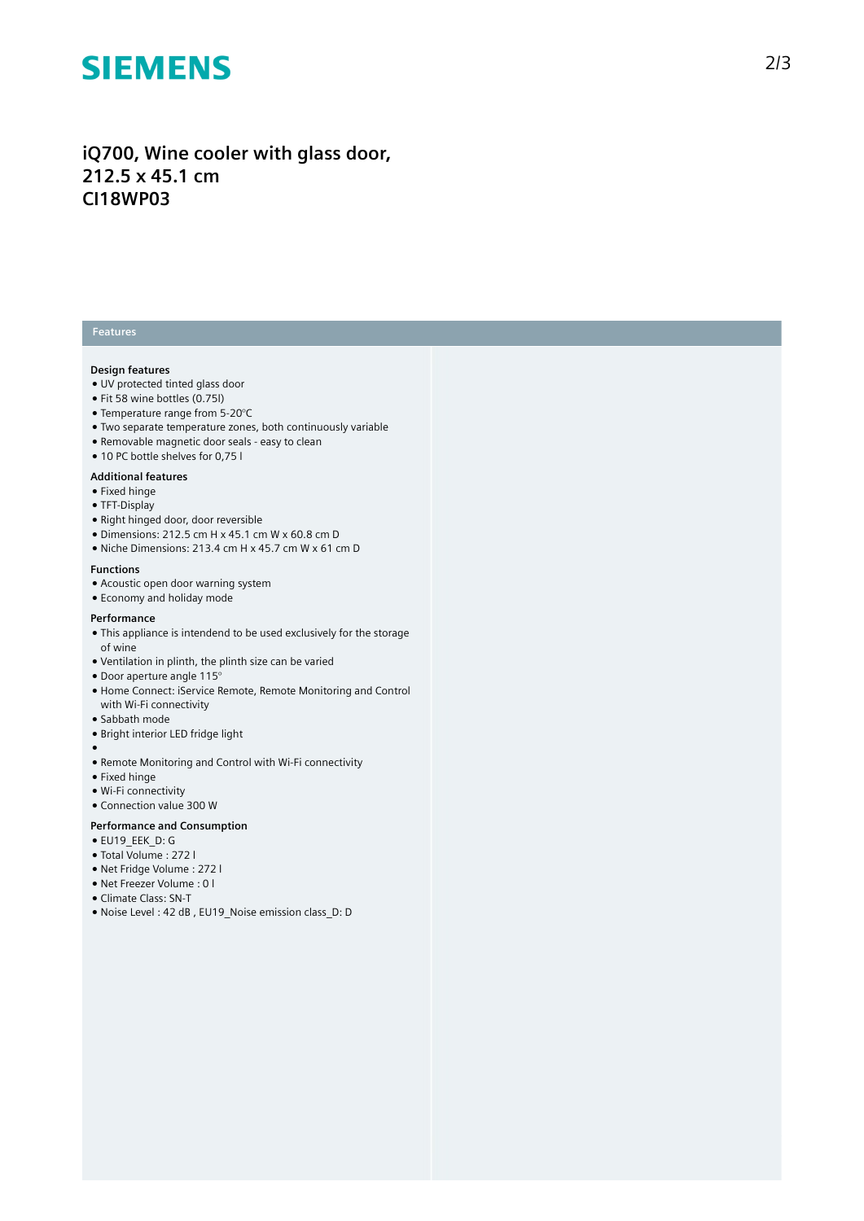# **SIEMENS**

# iQ700, Wine cooler with glass door, **212.5 x 45.1 cm CI18WP03**

## **Features**

#### **Design features**

- UV protected tinted glass door
- Fit 58 wine bottles (0.75l)
- Temperature range from 5-20°C
- Two separate temperature zones, both continuously variable
- Removable magnetic door seals easy to clean
- 10 PC bottle shelves for 0,75 l

### **Additional features**

- Fixed hinge
- TFT-Display
- Right hinged door, door revers i ble
- $\bullet$  Dimensions: 212.5 cm H x 45.1 cm W x 60.8 cm D
- Niche Dimensions: 213.4 cm H x 45.7 cm W x 61 c m D

#### **F u n c t i o n s**

- Acoustic open door warning system
- Economy and holiday mode

#### **P e r f o r m a n c e**

- $\bullet$  This appliance is intendend to be used exclusively for the storage of wine
- Ventilation in plinth, the plinth size can be varied
- $\bullet$  Door aperture angle 115 $^{\circ}$
- Home Connect: iService Remote, Remote Monitoring and Control with Wi-Fi connectivity
- Sabbath mode
- Bright interior LED fridge light
- ●<br>● Remote Monitoring and Control with Wi-Fi connectivity
- $\bullet$  Fixed hinge
- 
- Wi-Fi connectivity • Connection value 300 W

#### Performance and Consumption

- EU19\_EEK\_D: G
- Total Volume : 2 7 2 l
- Net Fridge Volume : 2 7 2 l
- Net Freezer Volume : 0 l
- Climate Class: SN-T
- Noise Level: 42 dB, EU19 Noise emission class D: D